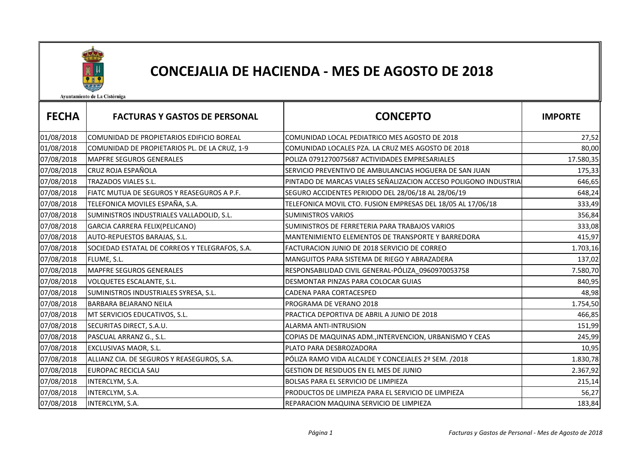

## CONCEJALIA DE HACIENDA - MES DE AGOSTO DE 2018

Ayuntamiento de La Cistérniga

| <b>FECHA</b> | <b>FACTURAS Y GASTOS DE PERSONAL</b>           | <b>CONCEPTO</b>                                                 | <b>IMPORTE</b> |
|--------------|------------------------------------------------|-----------------------------------------------------------------|----------------|
| 01/08/2018   | COMUNIDAD DE PROPIETARIOS EDIFICIO BOREAL      | COMUNIDAD LOCAL PEDIATRICO MES AGOSTO DE 2018                   | 27,52          |
| 01/08/2018   | COMUNIDAD DE PROPIETARIOS PL. DE LA CRUZ, 1-9  | COMUNIDAD LOCALES PZA. LA CRUZ MES AGOSTO DE 2018               | 80,00          |
| 07/08/2018   | <b>MAPFRE SEGUROS GENERALES</b>                | POLIZA 0791270075687 ACTIVIDADES EMPRESARIALES                  | 17.580,35      |
| 07/08/2018   | <b>CRUZ ROJA ESPAÑOLA</b>                      | SERVICIO PREVENTIVO DE AMBULANCIAS HOGUERA DE SAN JUAN          | 175,33         |
| 07/08/2018   | TRAZADOS VIALES S.L.                           | PINTADO DE MARCAS VIALES SEÑALIZACION ACCESO POLIGONO INDUSTRIA | 646,65         |
| 07/08/2018   | FIATC MUTUA DE SEGUROS Y REASEGUROS A P.F.     | SEGURO ACCIDENTES PERIODO DEL 28/06/18 AL 28/06/19              | 648,24         |
| 07/08/2018   | TELEFONICA MOVILES ESPAÑA, S.A.                | TELEFONICA MOVIL CTO. FUSION EMPRESAS DEL 18/05 AL 17/06/18     | 333,49         |
| 07/08/2018   | SUMINISTROS INDUSTRIALES VALLADOLID, S.L.      | <b>SUMINISTROS VARIOS</b>                                       | 356,84         |
| 07/08/2018   | GARCIA CARRERA FELIX(PELICANO)                 | SUMINISTROS DE FERRETERIA PARA TRABAJOS VARIOS                  | 333,08         |
| 07/08/2018   | AUTO-REPUESTOS BARAJAS, S.L.                   | MANTENIMIENTO ELEMENTOS DE TRANSPORTE Y BARREDORA               | 415,97         |
| 07/08/2018   | SOCIEDAD ESTATAL DE CORREOS Y TELEGRAFOS, S.A. | FACTURACION JUNIO DE 2018 SERVICIO DE CORREO                    | 1.703,16       |
| 07/08/2018   | FLUME, S.L.                                    | MANGUITOS PARA SISTEMA DE RIEGO Y ABRAZADERA                    | 137,02         |
| 07/08/2018   | <b>MAPFRE SEGUROS GENERALES</b>                | RESPONSABILIDAD CIVIL GENERAL-PÓLIZA_0960970053758              | 7.580,70       |
| 07/08/2018   | VOLQUETES ESCALANTE, S.L.                      | DESMONTAR PINZAS PARA COLOCAR GUIAS                             | 840,95         |
| 07/08/2018   | SUMINISTROS INDUSTRIALES SYRESA, S.L.          | CADENA PARA CORTACESPED                                         | 48,98          |
| 07/08/2018   | <b>BARBARA BEJARANO NEILA</b>                  | PROGRAMA DE VERANO 2018                                         | 1.754,50       |
| 07/08/2018   | MT SERVICIOS EDUCATIVOS, S.L.                  | PRACTICA DEPORTIVA DE ABRIL A JUNIO DE 2018                     | 466,85         |
| 07/08/2018   | SECURITAS DIRECT, S.A.U.                       | ALARMA ANTI-INTRUSION                                           | 151,99         |
| 07/08/2018   | PASCUAL ARRANZ G., S.L.                        | COPIAS DE MAQUINAS ADM., INTERVENCION, URBANISMO Y CEAS         | 245,99         |
| 07/08/2018   | EXCLUSIVAS MAOR, S.L.                          | PLATO PARA DESBROZADORA                                         | 10,95          |
| 07/08/2018   | ALLIANZ CIA. DE SEGUROS Y REASEGUROS, S.A.     | PÓLIZA RAMO VIDA ALCALDE Y CONCEJALES 2º SEM. /2018             | 1.830,78       |
| 07/08/2018   | <b>EUROPAC RECICLA SAU</b>                     | GESTION DE RESIDUOS EN EL MES DE JUNIO                          | 2.367,92       |
| 07/08/2018   | INTERCLYM, S.A.                                | BOLSAS PARA EL SERVICIO DE LIMPIEZA                             | 215,14         |
| 07/08/2018   | INTERCLYM, S.A.                                | PRODUCTOS DE LIMPIEZA PARA EL SERVICIO DE LIMPIEZA              | 56,27          |
| 07/08/2018   | INTERCLYM, S.A.                                | REPARACION MAQUINA SERVICIO DE LIMPIEZA                         | 183,84         |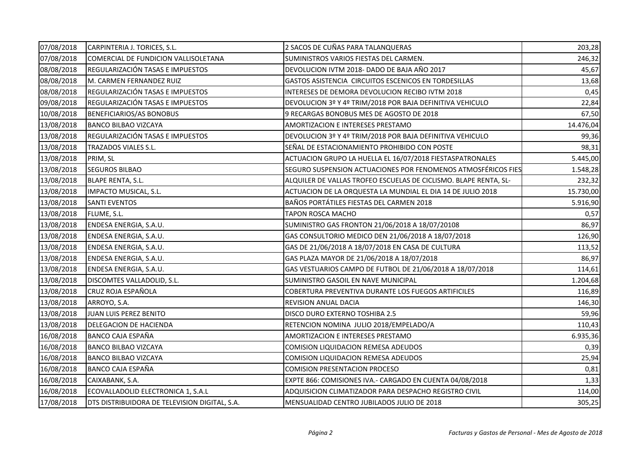| 07/08/2018 | CARPINTERIA J. TORICES, S.L.                  | 2 SACOS DE CUÑAS PARA TALANQUERAS                                | 203,28    |
|------------|-----------------------------------------------|------------------------------------------------------------------|-----------|
| 07/08/2018 | COMERCIAL DE FUNDICION VALLISOLETANA          | SUMINISTROS VARIOS FIESTAS DEL CARMEN.                           | 246,32    |
| 08/08/2018 | REGULARIZACIÓN TASAS E IMPUESTOS              | DEVOLUCION IVTM 2018- DADO DE BAJA AÑO 2017                      | 45,67     |
| 08/08/2018 | M. CARMEN FERNANDEZ RUIZ                      | GASTOS ASISTENCIA CIRCUITOS ESCENICOS EN TORDESILLAS             | 13,68     |
| 08/08/2018 | REGULARIZACIÓN TASAS E IMPUESTOS              | INTERESES DE DEMORA DEVOLUCION RECIBO IVTM 2018                  | 0,45      |
| 09/08/2018 | REGULARIZACIÓN TASAS E IMPUESTOS              | DEVOLUCION 3º Y 4º TRIM/2018 POR BAJA DEFINITIVA VEHICULO        | 22,84     |
| 10/08/2018 | BENEFICIARIOS/AS BONOBUS                      | 9 RECARGAS BONOBUS MES DE AGOSTO DE 2018                         | 67,50     |
| 13/08/2018 | <b>BANCO BILBAO VIZCAYA</b>                   | AMORTIZACION E INTERESES PRESTAMO                                | 14.476,04 |
| 13/08/2018 | REGULARIZACIÓN TASAS E IMPUESTOS              | DEVOLUCION 3º Y 4º TRIM/2018 POR BAJA DEFINITIVA VEHICULO        | 99,36     |
| 13/08/2018 | TRAZADOS VIALES S.L.                          | SEÑAL DE ESTACIONAMIENTO PROHIBIDO CON POSTE                     | 98,31     |
| 13/08/2018 | PRIM, SL                                      | ACTUACION GRUPO LA HUELLA EL 16/07/2018 FIESTASPATRONALES        | 5.445,00  |
| 13/08/2018 | <b>SEGUROS BILBAO</b>                         | SEGURO SUSPENSION ACTUACIONES POR FENOMENOS ATMOSFÉRICOS FIES    | 1.548,28  |
| 13/08/2018 | <b>BLAPE RENTA, S.L.</b>                      | ALQUILER DE VALLAS TROFEO ESCUELAS DE CICLISMO. BLAPE RENTA, SL- | 232,32    |
| 13/08/2018 | IMPACTO MUSICAL, S.L.                         | ACTUACION DE LA ORQUESTA LA MUNDIAL EL DIA 14 DE JULIO 2018      | 15.730,00 |
| 13/08/2018 | <b>SANTI EVENTOS</b>                          | BAÑOS PORTÁTILES FIESTAS DEL CARMEN 2018                         | 5.916,90  |
| 13/08/2018 | FLUME, S.L.                                   | TAPON ROSCA MACHO                                                | 0,57      |
| 13/08/2018 | ENDESA ENERGIA, S.A.U.                        | SUMINISTRO GAS FRONTON 21/06/2018 A 18/07/20108                  | 86,97     |
| 13/08/2018 | ENDESA ENERGIA, S.A.U.                        | GAS CONSULTORIO MEDICO DEN 21/06/2018 A 18/07/2018               | 126,90    |
| 13/08/2018 | ENDESA ENERGIA, S.A.U.                        | GAS DE 21/06/2018 A 18/07/2018 EN CASA DE CULTURA                | 113,52    |
| 13/08/2018 | ENDESA ENERGIA, S.A.U.                        | GAS PLAZA MAYOR DE 21/06/2018 A 18/07/2018                       | 86,97     |
| 13/08/2018 | ENDESA ENERGIA, S.A.U.                        | GAS VESTUARIOS CAMPO DE FUTBOL DE 21/06/2018 A 18/07/2018        | 114,61    |
| 13/08/2018 | DISCOMTES VALLADOLID, S.L.                    | SUMINISTRO GASOIL EN NAVE MUNICIPAL                              | 1.204,68  |
| 13/08/2018 | CRUZ ROJA ESPAÑOLA                            | COBERTURA PREVENTIVA DURANTE LOS FUEGOS ARTIFICILES              | 116,89    |
| 13/08/2018 | ARROYO, S.A.                                  | REVISION ANUAL DACIA                                             | 146,30    |
| 13/08/2018 | JUAN LUIS PEREZ BENITO                        | DISCO DURO EXTERNO TOSHIBA 2.5                                   | 59,96     |
| 13/08/2018 | DELEGACION DE HACIENDA                        | RETENCION NOMINA JULIO 2018/EMPELADO/A                           | 110,43    |
| 16/08/2018 | BANCO CAJA ESPAÑA                             | AMORTIZACION E INTERESES PRESTAMO                                | 6.935,36  |
| 16/08/2018 | <b>BANCO BILBAO VIZCAYA</b>                   | COMISION LIQUIDACION REMESA ADEUDOS                              | 0,39      |
| 16/08/2018 | <b>BANCO BILBAO VIZCAYA</b>                   | COMISION LIQUIDACION REMESA ADEUDOS                              | 25,94     |
| 16/08/2018 | BANCO CAJA ESPAÑA                             | <b>COMISION PRESENTACION PROCESO</b>                             | 0,81      |
| 16/08/2018 | CAIXABANK, S.A.                               | EXPTE 866: COMISIONES IVA. - CARGADO EN CUENTA 04/08/2018        | 1,33      |
| 16/08/2018 | ECOVALLADOLID ELECTRONICA 1, S.A.L            | ADQUISICION CLIMATIZADOR PARA DESPACHO REGISTRO CIVIL            | 114,00    |
| 17/08/2018 | DTS DISTRIBUIDORA DE TELEVISION DIGITAL, S.A. | MENSUALIDAD CENTRO JUBILADOS JULIO DE 2018                       | 305,25    |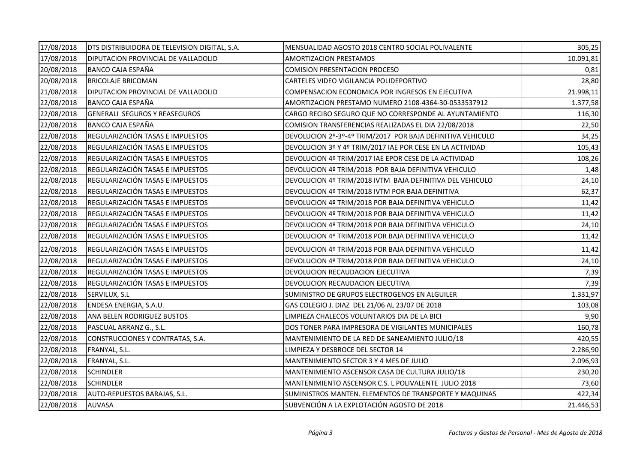| 17/08/2018 | DTS DISTRIBUIDORA DE TELEVISION DIGITAL, S.A. | MENSUALIDAD AGOSTO 2018 CENTRO SOCIAL POLIVALENTE          | 305,25    |
|------------|-----------------------------------------------|------------------------------------------------------------|-----------|
| 17/08/2018 | DIPUTACION PROVINCIAL DE VALLADOLID           | AMORTIZACION PRESTAMOS                                     | 10.091,81 |
| 20/08/2018 | BANCO CAJA ESPAÑA                             | <b>COMISION PRESENTACION PROCESO</b>                       | 0,81      |
| 20/08/2018 | <b>BRICOLAJE BRICOMAN</b>                     | CARTELES VIDEO VIGILANCIA POLIDEPORTIVO                    | 28,80     |
| 21/08/2018 | DIPUTACION PROVINCIAL DE VALLADOLID           | COMPENSACION ECONOMICA POR INGRESOS EN EJECUTIVA           | 21.998,11 |
| 22/08/2018 | BANCO CAJA ESPAÑA                             | AMORTIZACION PRESTAMO NUMERO 2108-4364-30-0533537912       | 1.377,58  |
| 22/08/2018 | <b>GENERALI SEGUROS Y REASEGUROS</b>          | CARGO RECIBO SEGURO QUE NO CORRESPONDE AL AYUNTAMIENTO     | 116,30    |
| 22/08/2018 | BANCO CAJA ESPAÑA                             | COMISION TRANSFERENCIAS REALIZADAS EL DIA 22/08/2018       | 22,50     |
| 22/08/2018 | REGULARIZACIÓN TASAS E IMPUESTOS              | DEVOLUCION 2º-3º-4º TRIM/2017 POR BAJA DEFINITIVA VEHICULO | 34,25     |
| 22/08/2018 | REGULARIZACIÓN TASAS E IMPUESTOS              | DEVOLUCION 3º Y 4º TRIM/2017 IAE POR CESE EN LA ACTIVIDAD  | 105,43    |
| 22/08/2018 | REGULARIZACIÓN TASAS E IMPUESTOS              | DEVOLUCION 4º TRIM/2017 IAE EPOR CESE DE LA ACTIVIDAD      | 108,26    |
| 22/08/2018 | REGULARIZACIÓN TASAS E IMPUESTOS              | DEVOLUCION 4º TRIM/2018 POR BAJA DEFINITIVA VEHICULO       | 1,48      |
| 22/08/2018 | REGULARIZACIÓN TASAS E IMPUESTOS              | DEVOLUCION 4º TRIM/2018 IVTM BAJA DEFINITIVA DEL VEHICULO  | 24,10     |
| 22/08/2018 | REGULARIZACIÓN TASAS E IMPUESTOS              | DEVOLUCION 4º TRIM/2018 IVTM POR BAJA DEFINITIVA           | 62,37     |
| 22/08/2018 | REGULARIZACIÓN TASAS E IMPUESTOS              | DEVOLUCION 4º TRIM/2018 POR BAJA DEFINITIVA VEHICULO       | 11,42     |
| 22/08/2018 | REGULARIZACIÓN TASAS E IMPUESTOS              | DEVOLUCION 4º TRIM/2018 POR BAJA DEFINITIVA VEHICULO       | 11,42     |
| 22/08/2018 | REGULARIZACIÓN TASAS E IMPUESTOS              | DEVOLUCION 4º TRIM/2018 POR BAJA DEFINITIVA VEHICULO       | 24,10     |
| 22/08/2018 | REGULARIZACIÓN TASAS E IMPUESTOS              | DEVOLUCION 4º TRIM/2018 POR BAJA DEFINITIVA VEHICULO       | 11,42     |
| 22/08/2018 | REGULARIZACIÓN TASAS E IMPUESTOS              | DEVOLUCION 4º TRIM/2018 POR BAJA DEFINITIVA VEHICULO       | 11,42     |
| 22/08/2018 | REGULARIZACIÓN TASAS E IMPUESTOS              | DEVOLUCION 4º TRIM/2018 POR BAJA DEFINITIVA VEHICULO       | 24,10     |
| 22/08/2018 | REGULARIZACIÓN TASAS E IMPUESTOS              | DEVOLUCION RECAUDACION EJECUTIVA                           | 7,39      |
| 22/08/2018 | REGULARIZACIÓN TASAS E IMPUESTOS              | DEVOLUCION RECAUDACION EJECUTIVA                           | 7,39      |
| 22/08/2018 | SERVILUX, S.L                                 | SUMINISTRO DE GRUPOS ELECTROGENOS EN ALGUILER              | 1.331,97  |
| 22/08/2018 | ENDESA ENERGIA, S.A.U.                        | GAS COLEGIO J. DIAZ DEL 21/06 AL 23/07 DE 2018             | 103,08    |
| 22/08/2018 | ANA BELEN RODRIGUEZ BUSTOS                    | LIMPIEZA CHALECOS VOLUNTARIOS DIA DE LA BICI               | 9,90      |
| 22/08/2018 | PASCUAL ARRANZ G., S.L.                       | DOS TONER PARA IMPRESORA DE VIGILANTES MUNICIPALES         | 160,78    |
| 22/08/2018 | CONSTRUCCIONES Y CONTRATAS, S.A.              | MANTENIMIENTO DE LA RED DE SANEAMIENTO JULIO/18            | 420,55    |
| 22/08/2018 | FRANYAL, S.L.                                 | LIMPIEZA Y DESBROCE DEL SECTOR 14                          | 2.286,90  |
| 22/08/2018 | FRANYAL, S.L.                                 | MANTENIMIENTO SECTOR 3 Y 4 MES DE JULIO                    | 2.096,93  |
| 22/08/2018 | <b>SCHINDLER</b>                              | MANTENIMIENTO ASCENSOR CASA DE CULTURA JULIO/18            | 230,20    |
| 22/08/2018 | <b>SCHINDLER</b>                              | MANTENIMIENTO ASCENSOR C.S. L POLIVALENTE JULIO 2018       | 73,60     |
| 22/08/2018 | AUTO-REPUESTOS BARAJAS, S.L.                  | SUMINISTROS MANTEN. ELEMENTOS DE TRANSPORTE Y MAQUINAS     | 422,34    |
| 22/08/2018 | <b>AUVASA</b>                                 | SUBVENCIÓN A LA EXPLOTACIÓN AGOSTO DE 2018                 | 21.446,53 |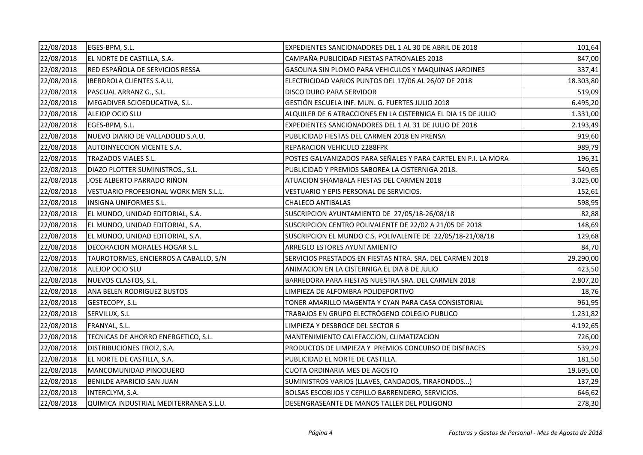| 22/08/2018 | EGES-BPM, S.L.                         | EXPEDIENTES SANCIONADORES DEL 1 AL 30 DE ABRIL DE 2018         | 101,64    |
|------------|----------------------------------------|----------------------------------------------------------------|-----------|
| 22/08/2018 | EL NORTE DE CASTILLA, S.A.             | CAMPAÑA PUBLICIDAD FIESTAS PATRONALES 2018                     | 847,00    |
| 22/08/2018 | RED ESPAÑOLA DE SERVICIOS RESSA        | GASOLINA SIN PLOMO PARA VEHICULOS Y MAQUINAS JARDINES          | 337,41    |
| 22/08/2018 | IBERDROLA CLIENTES S.A.U.              | ELECTRICIDAD VARIOS PUNTOS DEL 17/06 AL 26/07 DE 2018          | 18.303,80 |
| 22/08/2018 | PASCUAL ARRANZ G., S.L.                | DISCO DURO PARA SERVIDOR                                       | 519,09    |
| 22/08/2018 | MEGADIVER SCIOEDUCATIVA, S.L.          | GESTIÓN ESCUELA INF. MUN. G. FUERTES JULIO 2018                | 6.495,20  |
| 22/08/2018 | ALEJOP OCIO SLU                        | ALQUILER DE 6 ATRACCIONES EN LA CISTERNIGA EL DIA 15 DE JULIO  | 1.331,00  |
| 22/08/2018 | EGES-BPM, S.L.                         | EXPEDIENTES SANCIONADORES DEL 1 AL 31 DE JULIO DE 2018         | 2.193,49  |
| 22/08/2018 | NUEVO DIARIO DE VALLADOLID S.A.U.      | PUBLICIDAD FIESTAS DEL CARMEN 2018 EN PRENSA                   | 919,60    |
| 22/08/2018 | AUTOINYECCION VICENTE S.A.             | REPARACION VEHICULO 2288FPK                                    | 989,79    |
| 22/08/2018 | TRAZADOS VIALES S.L.                   | POSTES GALVANIZADOS PARA SEÑALES Y PARA CARTEL EN P.I. LA MORA | 196,31    |
| 22/08/2018 | DIAZO PLOTTER SUMINISTROS., S.L.       | PUBLICIDAD Y PREMIOS SABOREA LA CISTERNIGA 2018.               | 540,65    |
| 22/08/2018 | JOSE ALBERTO PARRADO RIÑON             | ATUACION SHAMBALA FIESTAS DEL CARMEN 2018                      | 3.025,00  |
| 22/08/2018 | VESTUARIO PROFESIONAL WORK MEN S.L.L.  | VESTUARIO Y EPIS PERSONAL DE SERVICIOS.                        | 152,61    |
| 22/08/2018 | INSIGNA UNIFORMES S.L.                 | <b>CHALECO ANTIBALAS</b>                                       | 598,95    |
| 22/08/2018 | EL MUNDO, UNIDAD EDITORIAL, S.A.       | SUSCRIPCION AYUNTAMIENTO DE 27/05/18-26/08/18                  | 82,88     |
| 22/08/2018 | EL MUNDO, UNIDAD EDITORIAL, S.A.       | SUSCRIPCION CENTRO POLIVALENTE DE 22/02 A 21/05 DE 2018        | 148,69    |
| 22/08/2018 | EL MUNDO, UNIDAD EDITORIAL, S.A.       | SUSCRIPCION EL MUNDO C.S. POLIVALENTE DE 22/05/18-21/08/18     | 129,68    |
| 22/08/2018 | <b>DECORACION MORALES HOGAR S.L.</b>   | ARREGLO ESTORES AYUNTAMIENTO                                   | 84,70     |
| 22/08/2018 | TAUROTORMES, ENCIERROS A CABALLO, S/N  | SERVICIOS PRESTADOS EN FIESTAS NTRA. SRA. DEL CARMEN 2018      | 29.290,00 |
| 22/08/2018 | ALEJOP OCIO SLU                        | ANIMACION EN LA CISTERNIGA EL DIA 8 DE JULIO                   | 423,50    |
| 22/08/2018 | NUEVOS CLASTOS, S.L.                   | BARREDORA PARA FIESTAS NUESTRA SRA. DEL CARMEN 2018            | 2.807,20  |
| 22/08/2018 | ANA BELEN RODRIGUEZ BUSTOS             | LIMPIEZA DE ALFOMBRA POLIDEPORTIVO                             | 18,76     |
| 22/08/2018 | GESTECOPY, S.L.                        | TONER AMARILLO MAGENTA Y CYAN PARA CASA CONSISTORIAL           | 961,95    |
| 22/08/2018 | SERVILUX, S.L                          | TRABAJOS EN GRUPO ELECTRÓGENO COLEGIO PUBLICO                  | 1.231,82  |
| 22/08/2018 | FRANYAL, S.L.                          | LIMPIEZA Y DESBROCE DEL SECTOR 6                               | 4.192,65  |
| 22/08/2018 | TECNICAS DE AHORRO ENERGETICO, S.L.    | MANTENIMIENTO CALEFACCION, CLIMATIZACION                       | 726,00    |
| 22/08/2018 | DISTRIBUCIONES FROIZ, S.A.             | PRODUCTOS DE LIMPIEZA Y PREMIOS CONCURSO DE DISFRACES          | 539,29    |
| 22/08/2018 | EL NORTE DE CASTILLA, S.A.             | PUBLICIDAD EL NORTE DE CASTILLA.                               | 181,50    |
| 22/08/2018 | MANCOMUNIDAD PINODUERO                 | <b>CUOTA ORDINARIA MES DE AGOSTO</b>                           | 19.695,00 |
| 22/08/2018 | BENILDE APARICIO SAN JUAN              | SUMINISTROS VARIOS (LLAVES, CANDADOS, TIRAFONDOS)              | 137,29    |
| 22/08/2018 | INTERCLYM, S.A.                        | BOLSAS ESCOBIJOS Y CEPILLO BARRENDERO, SERVICIOS.              | 646,62    |
| 22/08/2018 | QUIMICA INDUSTRIAL MEDITERRANEA S.L.U. | DESENGRASEANTE DE MANOS TALLER DEL POLIGONO                    | 278,30    |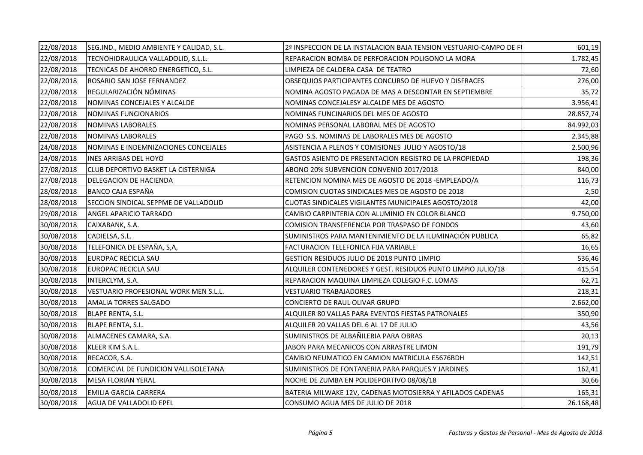| 22/08/2018 | SEG.IND., MEDIO AMBIENTE Y CALIDAD, S.L. | 2ª INSPECCION DE LA INSTALACION BAJA TENSION VESTUARIO-CAMPO DE FI | 601,19    |
|------------|------------------------------------------|--------------------------------------------------------------------|-----------|
| 22/08/2018 | TECNOHIDRAULICA VALLADOLID, S.L.L.       | REPARACION BOMBA DE PERFORACION POLIGONO LA MORA                   | 1.782,45  |
| 22/08/2018 | TECNICAS DE AHORRO ENERGETICO, S.L.      | LIMPIEZA DE CALDERA CASA DE TEATRO                                 | 72,60     |
| 22/08/2018 | ROSARIO SAN JOSE FERNANDEZ               | OBSEQUIOS PARTICIPANTES CONCURSO DE HUEVO Y DISFRACES              | 276,00    |
| 22/08/2018 | REGULARIZACIÓN NÓMINAS                   | NOMINA AGOSTO PAGADA DE MAS A DESCONTAR EN SEPTIEMBRE              | 35,72     |
| 22/08/2018 | NOMINAS CONCEJALES Y ALCALDE             | NOMINAS CONCEJALESY ALCALDE MES DE AGOSTO                          | 3.956,41  |
| 22/08/2018 | NOMINAS FUNCIONARIOS                     | NOMINAS FUNCINARIOS DEL MES DE AGOSTO                              | 28.857,74 |
| 22/08/2018 | <b>NOMINAS LABORALES</b>                 | NOMINAS PERSONAL LABORAL MES DE AGOSTO                             | 84.992,03 |
| 22/08/2018 | <b>NOMINAS LABORALES</b>                 | PAGO S.S. NOMINAS DE LABORALES MES DE AGOSTO                       | 2.345,88  |
| 24/08/2018 | NOMINAS E INDEMNIZACIONES CONCEJALES     | ASISTENCIA A PLENOS Y COMISIONES JULIO Y AGOSTO/18                 | 2.500,96  |
| 24/08/2018 | <b>INES ARRIBAS DEL HOYO</b>             | GASTOS ASIENTO DE PRESENTACION REGISTRO DE LA PROPIEDAD            | 198,36    |
| 27/08/2018 | CLUB DEPORTIVO BASKET LA CISTERNIGA      | ABONO 20% SUBVENCION CONVENIO 2017/2018                            | 840,00    |
| 27/08/2018 | DELEGACION DE HACIENDA                   | RETENCION NOMINA MES DE AGOSTO DE 2018 - EMPLEADO/A                | 116,73    |
| 28/08/2018 | BANCO CAJA ESPAÑA                        | COMISION CUOTAS SINDICALES MES DE AGOSTO DE 2018                   | 2,50      |
| 28/08/2018 | SECCION SINDICAL SEPPME DE VALLADOLID    | CUOTAS SINDICALES VIGILANTES MUNICIPALES AGOSTO/2018               | 42,00     |
| 29/08/2018 | ANGEL APARICIO TARRADO                   | CAMBIO CARPINTERIA CON ALUMINIO EN COLOR BLANCO                    | 9.750,00  |
| 30/08/2018 | CAIXABANK, S.A.                          | COMISION TRANSFERENCIA POR TRASPASO DE FONDOS                      | 43,60     |
| 30/08/2018 | CADIELSA, S.L.                           | SUMINISTROS PARA MANTENIMIENTO DE LA ILUMINACIÓN PUBLICA           | 65,82     |
| 30/08/2018 | TELEFONICA DE ESPAÑA, S,A,               | FACTURACION TELEFONICA FIJA VARIABLE                               | 16,65     |
| 30/08/2018 | EUROPAC RECICLA SAU                      | GESTION RESIDUOS JULIO DE 2018 PUNTO LIMPIO                        | 536,46    |
| 30/08/2018 | <b>EUROPAC RECICLA SAU</b>               | ALQUILER CONTENEDORES Y GEST. RESIDUOS PUNTO LIMPIO JULIO/18       | 415,54    |
| 30/08/2018 | INTERCLYM, S.A.                          | REPARACION MAQUINA LIMPIEZA COLEGIO F.C. LOMAS                     | 62,71     |
| 30/08/2018 | VESTUARIO PROFESIONAL WORK MEN S.L.L.    | <b>VESTUARIO TRABAJADORES</b>                                      | 218,31    |
| 30/08/2018 | AMALIA TORRES SALGADO                    | CONCIERTO DE RAUL OLIVAR GRUPO                                     | 2.662,00  |
| 30/08/2018 | BLAPE RENTA, S.L.                        | ALQUILER 80 VALLAS PARA EVENTOS FIESTAS PATRONALES                 | 350,90    |
| 30/08/2018 | <b>BLAPE RENTA, S.L.</b>                 | ALQUILER 20 VALLAS DEL 6 AL 17 DE JULIO                            | 43,56     |
| 30/08/2018 | ALMACENES CAMARA, S.A.                   | SUMINISTROS DE ALBAÑILERIA PARA OBRAS                              | 20,13     |
| 30/08/2018 | KLEER KIM S.A.L.                         | JABON PARA MECANICOS CON ARRASTRE LIMON                            | 191,79    |
| 30/08/2018 | RECACOR, S.A.                            | CAMBIO NEUMATICO EN CAMION MATRICULA E5676BDH                      | 142,51    |
| 30/08/2018 | COMERCIAL DE FUNDICION VALLISOLETANA     | SUMINISTROS DE FONTANERIA PARA PARQUES Y JARDINES                  | 162,41    |
| 30/08/2018 | <b>MESA FLORIAN YERAL</b>                | NOCHE DE ZUMBA EN POLIDEPORTIVO 08/08/18                           | 30,66     |
| 30/08/2018 | EMILIA GARCIA CARRERA                    | BATERIA MILWAKE 12V, CADENAS MOTOSIERRA Y AFILADOS CADENAS         | 165,31    |
| 30/08/2018 | AGUA DE VALLADOLID EPEL                  | CONSUMO AGUA MES DE JULIO DE 2018                                  | 26.168,48 |